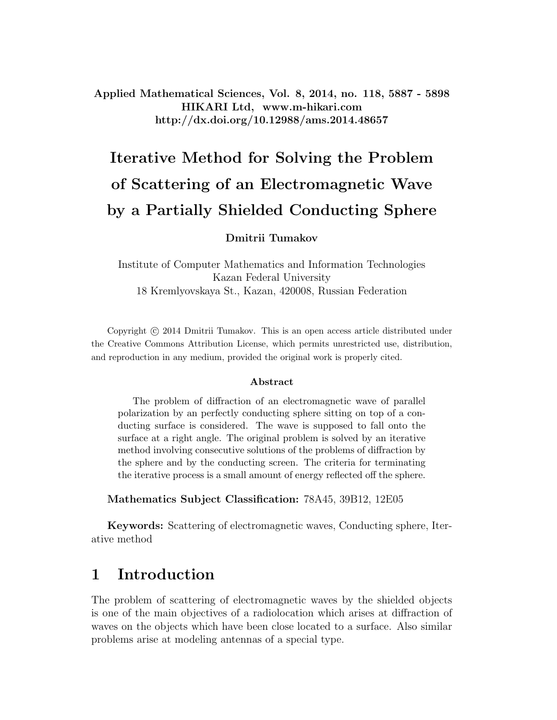Applied Mathematical Sciences, Vol. 8, 2014, no. 118, 5887 - 5898 HIKARI Ltd, www.m-hikari.com http://dx.doi.org/10.12988/ams.2014.48657

# Iterative Method for Solving the Problem of Scattering of an Electromagnetic Wave by a Partially Shielded Conducting Sphere

#### Dmitrii Tumakov

Institute of Computer Mathematics and Information Technologies Kazan Federal University 18 Kremlyovskaya St., Kazan, 420008, Russian Federation

Copyright  $\odot$  2014 Dmitrii Tumakov. This is an open access article distributed under the Creative Commons Attribution License, which permits unrestricted use, distribution, and reproduction in any medium, provided the original work is properly cited.

#### Abstract

The problem of diffraction of an electromagnetic wave of parallel polarization by an perfectly conducting sphere sitting on top of a conducting surface is considered. The wave is supposed to fall onto the surface at a right angle. The original problem is solved by an iterative method involving consecutive solutions of the problems of diffraction by the sphere and by the conducting screen. The criteria for terminating the iterative process is a small amount of energy reflected off the sphere.

Mathematics Subject Classification: 78A45, 39B12, 12E05

Keywords: Scattering of electromagnetic waves, Conducting sphere, Iterative method

## 1 Introduction

The problem of scattering of electromagnetic waves by the shielded objects is one of the main objectives of a radiolocation which arises at diffraction of waves on the objects which have been close located to a surface. Also similar problems arise at modeling antennas of a special type.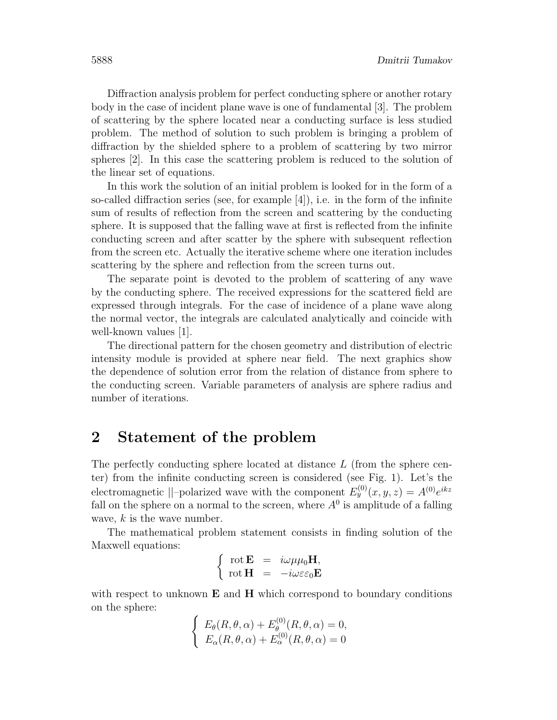Diffraction analysis problem for perfect conducting sphere or another rotary body in the case of incident plane wave is one of fundamental [3]. The problem of scattering by the sphere located near a conducting surface is less studied problem. The method of solution to such problem is bringing a problem of diffraction by the shielded sphere to a problem of scattering by two mirror spheres [2]. In this case the scattering problem is reduced to the solution of the linear set of equations.

In this work the solution of an initial problem is looked for in the form of a so-called diffraction series (see, for example  $[4]$ ), i.e. in the form of the infinite sum of results of reflection from the screen and scattering by the conducting sphere. It is supposed that the falling wave at first is reflected from the infinite conducting screen and after scatter by the sphere with subsequent reflection from the screen etc. Actually the iterative scheme where one iteration includes scattering by the sphere and reflection from the screen turns out.

The separate point is devoted to the problem of scattering of any wave by the conducting sphere. The received expressions for the scattered field are expressed through integrals. For the case of incidence of a plane wave along the normal vector, the integrals are calculated analytically and coincide with well-known values [1].

The directional pattern for the chosen geometry and distribution of electric intensity module is provided at sphere near field. The next graphics show the dependence of solution error from the relation of distance from sphere to the conducting screen. Variable parameters of analysis are sphere radius and number of iterations.

### 2 Statement of the problem

The perfectly conducting sphere located at distance  $L$  (from the sphere center) from the infinite conducting screen is considered (see Fig. 1). Let's the electromagnetic ||-polarized wave with the component  $E_y^{(0)}(x, y, z) = A^{(0)}e^{ikz}$ fall on the sphere on a normal to the screen, where  $A^0$  is amplitude of a falling wave,  $k$  is the wave number.

The mathematical problem statement consists in finding solution of the Maxwell equations:

$$
\left\{\begin{array}{rcl} \mathrm{rot}\,\mathbf{E} &=& i\omega\mu\mu_0\mathbf{H},\\ \mathrm{rot}\,\mathbf{H} &=& -i\omega\varepsilon\varepsilon_0\mathbf{E} \end{array}\right.
$$

with respect to unknown  $E$  and  $H$  which correspond to boundary conditions on the sphere:

$$
\begin{cases} E_{\theta}(R,\theta,\alpha) + E_{\theta}^{(0)}(R,\theta,\alpha) = 0, \\ E_{\alpha}(R,\theta,\alpha) + E_{\alpha}^{(0)}(R,\theta,\alpha) = 0 \end{cases}
$$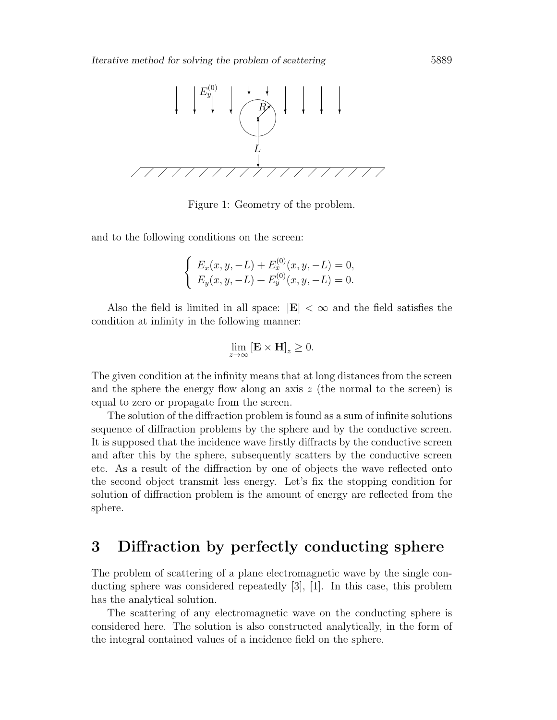

Figure 1: Geometry of the problem.

and to the following conditions on the screen:

$$
\begin{cases}\nE_x(x, y, -L) + E_x^{(0)}(x, y, -L) = 0, \\
E_y(x, y, -L) + E_y^{(0)}(x, y, -L) = 0.\n\end{cases}
$$

Also the field is limited in all space:  $|\mathbf{E}| < \infty$  and the field satisfies the condition at infinity in the following manner:

$$
\lim_{z \to \infty} [\mathbf{E} \times \mathbf{H}]_z \ge 0.
$$

The given condition at the infinity means that at long distances from the screen and the sphere the energy flow along an axis  $z$  (the normal to the screen) is equal to zero or propagate from the screen.

The solution of the diffraction problem is found as a sum of infinite solutions sequence of diffraction problems by the sphere and by the conductive screen. It is supposed that the incidence wave firstly diffracts by the conductive screen and after this by the sphere, subsequently scatters by the conductive screen etc. As a result of the diffraction by one of objects the wave reflected onto the second object transmit less energy. Let's fix the stopping condition for solution of diffraction problem is the amount of energy are reflected from the sphere.

## 3 Diffraction by perfectly conducting sphere

The problem of scattering of a plane electromagnetic wave by the single conducting sphere was considered repeatedly [3], [1]. In this case, this problem has the analytical solution.

The scattering of any electromagnetic wave on the conducting sphere is considered here. The solution is also constructed analytically, in the form of the integral contained values of a incidence field on the sphere.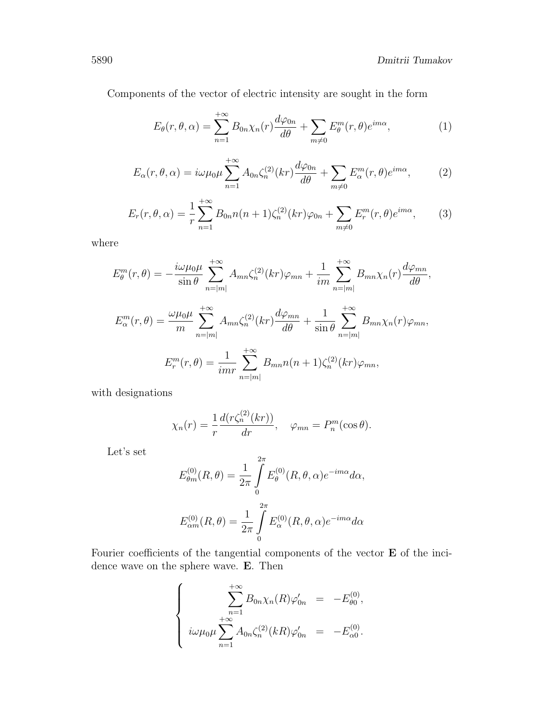Components of the vector of electric intensity are sought in the form

$$
E_{\theta}(r,\theta,\alpha) = \sum_{n=1}^{+\infty} B_{0n}\chi_n(r)\frac{d\varphi_{0n}}{d\theta} + \sum_{m\neq 0} E_{\theta}^m(r,\theta)e^{im\alpha},\tag{1}
$$

$$
E_{\alpha}(r,\theta,\alpha) = i\omega\mu_0\mu \sum_{n=1}^{+\infty} A_{0n}\zeta_n^{(2)}(kr) \frac{d\varphi_{0n}}{d\theta} + \sum_{m\neq 0} E_{\alpha}^m(r,\theta) e^{im\alpha},\tag{2}
$$

$$
E_r(r,\theta,\alpha) = \frac{1}{r} \sum_{n=1}^{+\infty} B_{0n} n(n+1) \zeta_n^{(2)}(kr) \varphi_{0n} + \sum_{m \neq 0} E_r^m(r,\theta) e^{im\alpha}, \qquad (3)
$$

where

$$
E_{\theta}^{m}(r,\theta) = -\frac{i\omega\mu_{0}\mu}{\sin\theta} \sum_{n=|m|}^{+\infty} A_{mn}\zeta_{n}^{(2)}(kr)\varphi_{mn} + \frac{1}{im} \sum_{n=|m|}^{+\infty} B_{mn}\chi_{n}(r)\frac{d\varphi_{mn}}{d\theta},
$$
  

$$
E_{\alpha}^{m}(r,\theta) = \frac{\omega\mu_{0}\mu}{m} \sum_{n=|m|}^{+\infty} A_{mn}\zeta_{n}^{(2)}(kr)\frac{d\varphi_{mn}}{d\theta} + \frac{1}{\sin\theta} \sum_{n=|m|}^{+\infty} B_{mn}\chi_{n}(r)\varphi_{mn},
$$
  

$$
E_{r}^{m}(r,\theta) = \frac{1}{imr} \sum_{n=|m|}^{+\infty} B_{mn}n(n+1)\zeta_{n}^{(2)}(kr)\varphi_{mn},
$$

with designations

$$
\chi_n(r) = \frac{1}{r} \frac{d(r\zeta_n^{(2)}(kr))}{dr}, \quad \varphi_{mn} = P_n^m(\cos \theta).
$$

Let's set

$$
E_{\theta m}^{(0)}(R,\theta) = \frac{1}{2\pi} \int_{0}^{2\pi} E_{\theta}^{(0)}(R,\theta,\alpha) e^{-im\alpha} d\alpha,
$$
  

$$
E_{\alpha m}^{(0)}(R,\theta) = \frac{1}{2\pi} \int_{0}^{2\pi} E_{\alpha}^{(0)}(R,\theta,\alpha) e^{-im\alpha} d\alpha
$$

Fourier coefficients of the tangential components of the vector E of the incidence wave on the sphere wave. E. Then

$$
\begin{cases}\n\sum_{n=1}^{+\infty} B_{0n}\chi_n(R)\varphi'_{0n} = -E_{\theta 0}^{(0)},\\ \n\imath\omega\mu_0\mu\sum_{n=1}^{+\infty} A_{0n}\zeta_n^{(2)}(kR)\varphi'_{0n} = -E_{\alpha 0}^{(0)}.\n\end{cases}
$$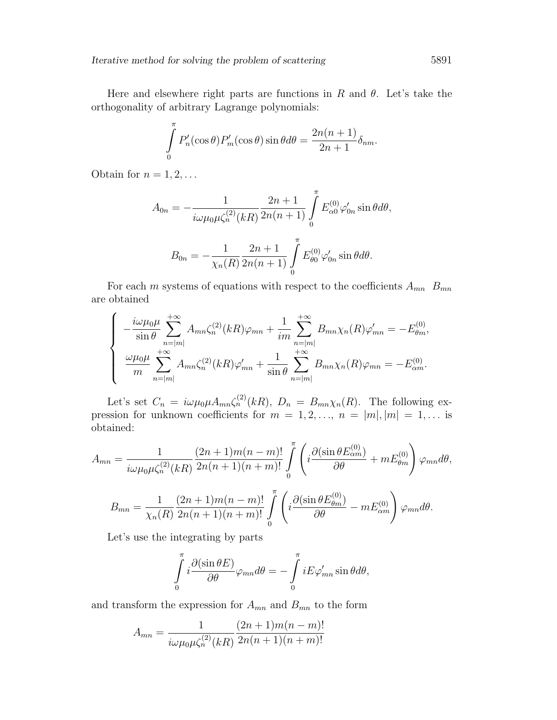Here and elsewhere right parts are functions in R and  $\theta$ . Let's take the orthogonality of arbitrary Lagrange polynomials:

$$
\int_{0}^{\pi} P'_{n}(\cos \theta) P'_{m}(\cos \theta) \sin \theta d\theta = \frac{2n(n+1)}{2n+1} \delta_{nm}.
$$

Obtain for  $n = 1, 2, \ldots$ 

$$
A_{0n} = -\frac{1}{i\omega\mu_0\mu\zeta_n^{(2)}(kR)} \frac{2n+1}{2n(n+1)} \int_0^{\pi} E_{\alpha 0}^{(0)} \varphi'_{0n} \sin \theta d\theta,
$$

$$
B_{0n} = -\frac{1}{\chi_n(R)} \frac{2n+1}{2n(n+1)} \int\limits_0^{\pi} E_{\theta 0}^{(0)} \varphi'_{0n} \sin \theta d\theta.
$$

For each m systems of equations with respect to the coefficients  $A_{mn}$   $B_{mn}$ are obtained

$$
\begin{cases}\n-\frac{i\omega\mu_{0}\mu}{\sin\theta}\sum_{n=|m|}^{+\infty}A_{mn}\zeta_{n}^{(2)}(kR)\varphi_{mn}+\frac{1}{im}\sum_{n=|m|}^{+\infty}B_{mn}\chi_{n}(R)\varphi'_{mn}=-E_{\theta m}^{(0)},\\
\frac{\omega\mu_{0}\mu}{m}\sum_{n=|m|}^{+\infty}A_{mn}\zeta_{n}^{(2)}(kR)\varphi'_{mn}+\frac{1}{\sin\theta}\sum_{n=|m|}^{+\infty}B_{mn}\chi_{n}(R)\varphi_{mn}=-E_{\alpha m}^{(0)}.\n\end{cases}
$$

Let's set  $C_n = i\omega\mu_0\mu A_{mn}\zeta_n^{(2)}(kR)$ ,  $D_n = B_{mn}\chi_n(R)$ . The following expression for unknown coefficients for  $m = 1, 2, ..., n = |m|, |m| = 1, ...$  is obtained:

$$
A_{mn} = \frac{1}{i\omega\mu_0\mu\zeta_n^{(2)}(kR)} \frac{(2n+1)m(n-m)!}{2n(n+1)(n+m)!} \int_0^{\pi} \left( i \frac{\partial(\sin\theta E_{\alpha m}^{(0)})}{\partial \theta} + mE_{\theta m}^{(0)} \right) \varphi_{mn} d\theta,
$$
  

$$
B_{mn} = \frac{1}{\chi_n(R)} \frac{(2n+1)m(n-m)!}{2n(n+1)(n+m)!} \int_0^{\pi} \left( i \frac{\partial(\sin\theta E_{\theta m}^{(0)})}{\partial \theta} - mE_{\alpha m}^{(0)} \right) \varphi_{mn} d\theta.
$$

Let's use the integrating by parts

$$
\int_{0}^{\pi} i \frac{\partial (\sin \theta E)}{\partial \theta} \varphi_{mn} d\theta = -\int_{0}^{\pi} i E \varphi'_{mn} \sin \theta d\theta,
$$

and transform the expression for  $A_{mn}$  and  $B_{mn}$  to the form

$$
A_{mn} = \frac{1}{i\omega\mu_0\mu\zeta_n^{(2)}(kR)} \frac{(2n+1)m(n-m)!}{2n(n+1)(n+m)!}
$$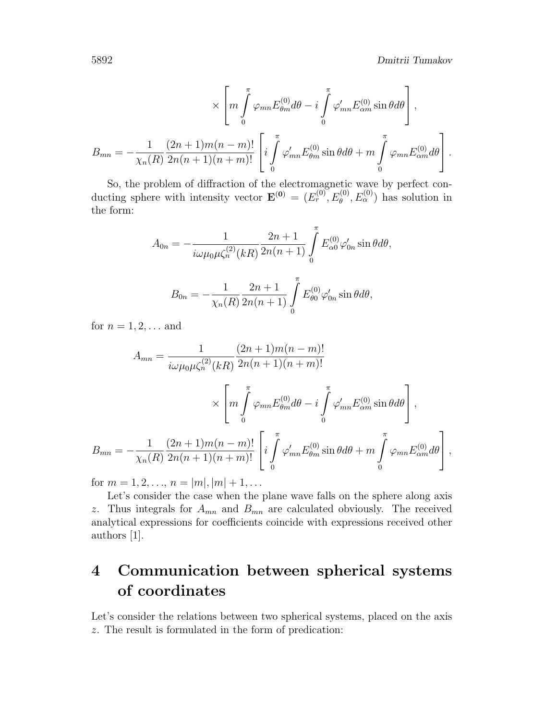$$
\times \left[ m \int_{0}^{\pi} \varphi_{mn} E_{\theta m}^{(0)} d\theta - i \int_{0}^{\pi} \varphi'_{mn} E_{\alpha m}^{(0)} \sin \theta d\theta \right],
$$
  

$$
B_{mn} = -\frac{1}{\chi_n(R)} \frac{(2n+1)m(n-m)!}{2n(n+1)(n+m)!} \left[ i \int_{0}^{\pi} \varphi'_{mn} E_{\theta m}^{(0)} \sin \theta d\theta + m \int_{0}^{\pi} \varphi_{mn} E_{\alpha m}^{(0)} d\theta \right].
$$

So, the problem of diffraction of the electromagnetic wave by perfect conducting sphere with intensity vector  $\mathbf{E}^{(0)} = (E_r^{(0)}, E_\theta^{(0)}, E_\alpha^{(0)})$  has solution in the form:

$$
A_{0n} = -\frac{1}{i\omega\mu_0\mu\zeta_n^{(2)}(kR)} \frac{2n+1}{2n(n+1)} \int_0^{\pi} E_{\alpha 0}^{(0)} \varphi'_{0n} \sin \theta d\theta,
$$
  

$$
B_{0n} = -\frac{1}{\chi_n(R)} \frac{2n+1}{2n(n+1)} \int_0^{\pi} E_{\theta 0}^{(0)} \varphi'_{0n} \sin \theta d\theta,
$$

for  $n = 1, 2, ...$  and

$$
A_{mn} = \frac{1}{i\omega\mu_0\mu\zeta_n^{(2)}(kR)} \frac{(2n+1)m(n-m)!}{2n(n+1)(n+m)!} \times \left[ m \int_0^{\pi} \varphi_{mn} E_{\theta m}^{(0)} d\theta - i \int_0^{\pi} \varphi'_{mn} E_{\alpha m}^{(0)} \sin \theta d\theta \right],
$$
  

$$
B_{mn} = -\frac{1}{\chi_n(R)} \frac{(2n+1)m(n-m)!}{2n(n+1)(n+m)!} \left[ i \int_0^{\pi} \varphi'_{mn} E_{\theta m}^{(0)} \sin \theta d\theta + m \int_0^{\pi} \varphi_{mn} E_{\alpha m}^{(0)} d\theta \right],
$$

for  $m = 1, 2, ..., n = |m|, |m| + 1, ...$ 

Let's consider the case when the plane wave falls on the sphere along axis z. Thus integrals for  $A_{mn}$  and  $B_{mn}$  are calculated obviously. The received analytical expressions for coefficients coincide with expressions received other authors [1].

## 4 Communication between spherical systems of coordinates

Let's consider the relations between two spherical systems, placed on the axis z. The result is formulated in the form of predication: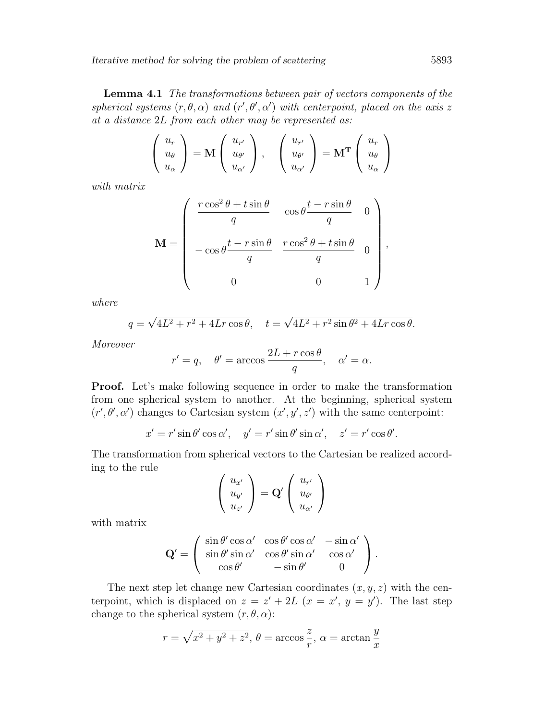Iterative method for solving the problem of scattering 5893

Lemma 4.1 The transformations between pair of vectors components of the spherical systems  $(r, \theta, \alpha)$  and  $(r', \theta', \alpha')$  with centerpoint, placed on the axis z at a distance 2L from each other may be represented as:

$$
\left(\begin{array}{c} u_r \\ u_\theta \\ u_\alpha \end{array}\right) = \mathbf{M} \left(\begin{array}{c} u_{r'} \\ u_{\theta'} \\ u_{\alpha'} \end{array}\right), \quad \left(\begin{array}{c} u_{r'} \\ u_{\theta'} \\ u_{\alpha'} \end{array}\right) = \mathbf{M}^{\mathbf{T}} \left(\begin{array}{c} u_r \\ u_\theta \\ u_\alpha \end{array}\right)
$$

with matrix

$$
\mathbf{M} = \begin{pmatrix} \frac{r \cos^2 \theta + t \sin \theta}{q} & \cos \theta \frac{t - r \sin \theta}{q} & 0 \\ -\cos \theta \frac{t - r \sin \theta}{q} & \frac{r \cos^2 \theta + t \sin \theta}{q} & 0 \\ 0 & 0 & 1 \end{pmatrix}
$$

where

$$
q = \sqrt{4L^2 + r^2 + 4Lr\cos\theta}, \quad t = \sqrt{4L^2 + r^2\sin\theta^2 + 4Lr\cos\theta}.
$$

Moreover

$$
r' = q
$$
,  $\theta' = \arccos \frac{2L + r \cos \theta}{q}$ ,  $\alpha' = \alpha$ .

Proof. Let's make following sequence in order to make the transformation from one spherical system to another. At the beginning, spherical system  $(r', \theta', \alpha')$  changes to Cartesian system  $(x', y', z')$  with the same centerpoint:

$$
x' = r' \sin \theta' \cos \alpha', \quad y' = r' \sin \theta' \sin \alpha', \quad z' = r' \cos \theta'.
$$

The transformation from spherical vectors to the Cartesian be realized according to the rule

$$
\left(\begin{array}{c} u_{x'} \\ u_{y'} \\ u_{z'} \end{array}\right) = \mathbf{Q'} \left(\begin{array}{c} u_{r'} \\ u_{\theta'} \\ u_{\alpha'} \end{array}\right)
$$

with matrix

$$
\mathbf{Q}' = \begin{pmatrix} \sin \theta' \cos \alpha' & \cos \theta' \cos \alpha' & -\sin \alpha' \\ \sin \theta' \sin \alpha' & \cos \theta' \sin \alpha' & \cos \alpha' \\ \cos \theta' & -\sin \theta' & 0 \end{pmatrix}.
$$

The next step let change new Cartesian coordinates  $(x, y, z)$  with the centerpoint, which is displaced on  $z = z' + 2L$   $(x = x', y = y')$ . The last step change to the spherical system  $(r, \theta, \alpha)$ :

$$
r = \sqrt{x^2 + y^2 + z^2}
$$
,  $\theta = \arccos \frac{z}{r}$ ,  $\alpha = \arctan \frac{y}{x}$ 

,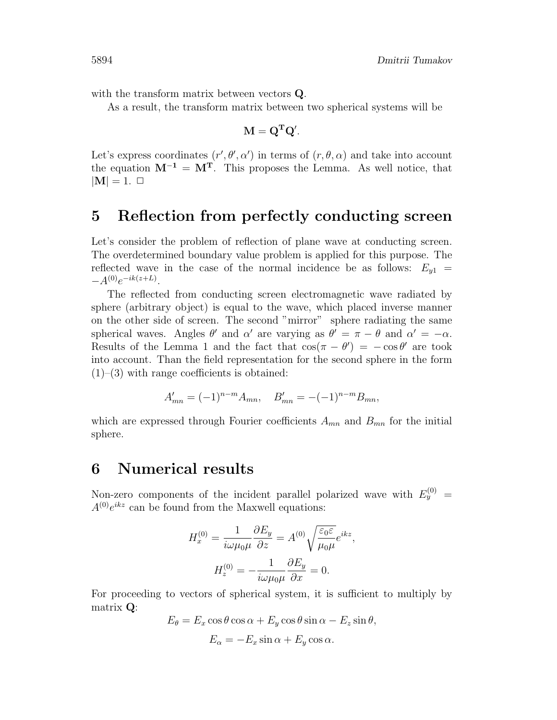with the transform matrix between vectors **Q**.

As a result, the transform matrix between two spherical systems will be

$$
\mathbf{M} = \mathbf{Q}^{\mathbf{T}} \mathbf{Q}'.
$$

Let's express coordinates  $(r', \theta', \alpha')$  in terms of  $(r, \theta, \alpha)$  and take into account the equation  $M^{-1} = M^{T}$ . This proposes the Lemma. As well notice, that  $|M| = 1. \square$ 

#### 5 Reflection from perfectly conducting screen

Let's consider the problem of reflection of plane wave at conducting screen. The overdetermined boundary value problem is applied for this purpose. The reflected wave in the case of the normal incidence be as follows:  $E_{y1}$  =  $-A^{(0)}e^{-ik(z+L)}$ .

The reflected from conducting screen electromagnetic wave radiated by sphere (arbitrary object) is equal to the wave, which placed inverse manner on the other side of screen. The second "mirror" sphere radiating the same spherical waves. Angles  $\theta'$  and  $\alpha'$  are varying as  $\theta' = \pi - \theta$  and  $\alpha' = -\alpha$ . Results of the Lemma 1 and the fact that  $\cos(\pi - \theta') = -\cos \theta'$  are took into account. Than the field representation for the second sphere in the form  $(1)$ – $(3)$  with range coefficients is obtained:

$$
A'_{mn} = (-1)^{n-m} A_{mn}, \quad B'_{mn} = -(-1)^{n-m} B_{mn},
$$

which are expressed through Fourier coefficients  $A_{mn}$  and  $B_{mn}$  for the initial sphere.

### 6 Numerical results

Non-zero components of the incident parallel polarized wave with  $E_y^{(0)} =$  $A^{(0)}e^{ikz}$  can be found from the Maxwell equations:

$$
H_x^{(0)} = \frac{1}{i\omega\mu_0\mu} \frac{\partial E_y}{\partial z} = A^{(0)} \sqrt{\frac{\varepsilon_0 \varepsilon}{\mu_0 \mu}} e^{ikz},
$$

$$
H_z^{(0)} = -\frac{1}{i\omega\mu_0\mu} \frac{\partial E_y}{\partial x} = 0.
$$

For proceeding to vectors of spherical system, it is sufficient to multiply by matrix Q:

$$
E_{\theta} = E_x \cos \theta \cos \alpha + E_y \cos \theta \sin \alpha - E_z \sin \theta,
$$
  

$$
E_{\alpha} = -E_x \sin \alpha + E_y \cos \alpha.
$$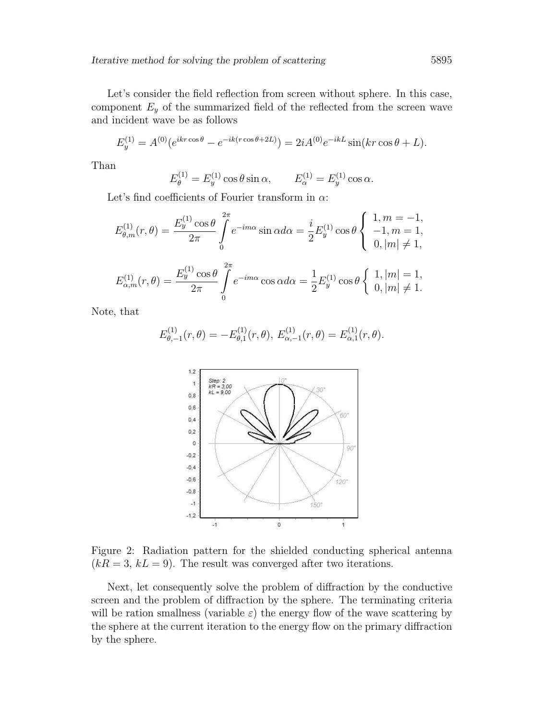Let's consider the field reflection from screen without sphere. In this case, component  $E_y$  of the summarized field of the reflected from the screen wave and incident wave be as follows

$$
E_y^{(1)} = A^{(0)}(e^{ikr\cos\theta} - e^{-ik(r\cos\theta + 2L)}) = 2iA^{(0)}e^{-ikL}\sin(kr\cos\theta + L).
$$

Than

$$
E_{\theta}^{(1)} = E_y^{(1)} \cos \theta \sin \alpha
$$
,  $E_{\alpha}^{(1)} = E_y^{(1)} \cos \alpha$ .

Let's find coefficients of Fourier transform in  $\alpha$ :

$$
E_{\theta,m}^{(1)}(r,\theta) = \frac{E_y^{(1)}\cos\theta}{2\pi} \int_0^{2\pi} e^{-im\alpha} \sin\alpha d\alpha = \frac{i}{2} E_y^{(1)}\cos\theta \begin{cases} 1, m = -1, \\ -1, m = 1, \\ 0, |m| \neq 1, \end{cases}
$$

$$
E_{\alpha,m}^{(1)}(r,\theta) = \frac{E_y^{(1)}\cos\theta}{2\pi} \int_0^{2\pi} e^{-im\alpha} \cos\alpha d\alpha = \frac{1}{2} E_y^{(1)} \cos\theta \begin{cases} 1, |m| = 1, \\ 0, |m| \neq 1. \end{cases}
$$

Note, that

$$
E_{\theta,-1}^{(1)}(r,\theta) = -E_{\theta,1}^{(1)}(r,\theta), E_{\alpha,-1}^{(1)}(r,\theta) = E_{\alpha,1}^{(1)}(r,\theta).
$$



Figure 2: Radiation pattern for the shielded conducting spherical antenna  $(kR = 3, kL = 9)$ . The result was converged after two iterations.

Next, let consequently solve the problem of diffraction by the conductive screen and the problem of diffraction by the sphere. The terminating criteria will be ration smallness (variable  $\varepsilon$ ) the energy flow of the wave scattering by the sphere at the current iteration to the energy flow on the primary diffraction by the sphere.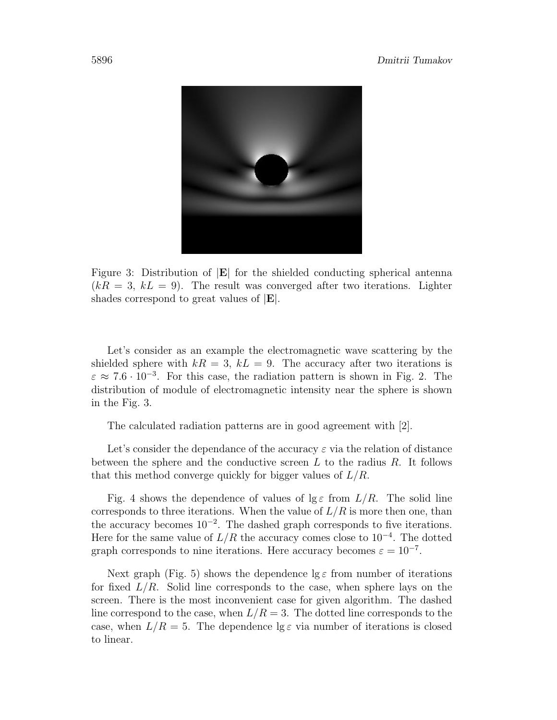

Figure 3: Distribution of |E| for the shielded conducting spherical antenna  $(kR = 3, kL = 9)$ . The result was converged after two iterations. Lighter shades correspond to great values of |E|.

Let's consider as an example the electromagnetic wave scattering by the shielded sphere with  $kR = 3$ ,  $kL = 9$ . The accuracy after two iterations is  $\varepsilon \approx 7.6 \cdot 10^{-3}$ . For this case, the radiation pattern is shown in Fig. 2. The distribution of module of electromagnetic intensity near the sphere is shown in the Fig. 3.

The calculated radiation patterns are in good agreement with [2].

Let's consider the dependance of the accuracy  $\varepsilon$  via the relation of distance between the sphere and the conductive screen  $L$  to the radius  $R$ . It follows that this method converge quickly for bigger values of  $L/R$ .

Fig. 4 shows the dependence of values of  $\lg \varepsilon$  from  $L/R$ . The solid line corresponds to three iterations. When the value of  $L/R$  is more then one, than the accuracy becomes  $10^{-2}$ . The dashed graph corresponds to five iterations. Here for the same value of  $L/R$  the accuracy comes close to  $10^{-4}$ . The dotted graph corresponds to nine iterations. Here accuracy becomes  $\varepsilon = 10^{-7}$ .

Next graph (Fig. 5) shows the dependence  $\lg \varepsilon$  from number of iterations for fixed  $L/R$ . Solid line corresponds to the case, when sphere lays on the screen. There is the most inconvenient case for given algorithm. The dashed line correspond to the case, when  $L/R = 3$ . The dotted line corresponds to the case, when  $L/R = 5$ . The dependence  $\lg \varepsilon$  via number of iterations is closed to linear.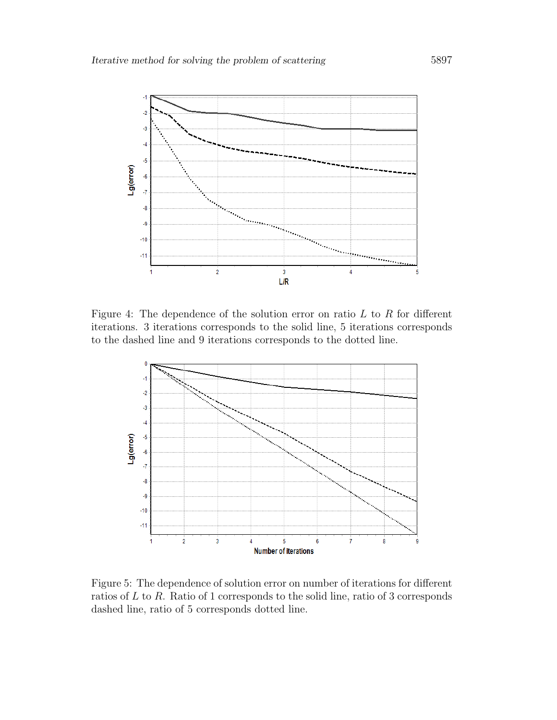

Figure 4: The dependence of the solution error on ratio  $L$  to  $R$  for different iterations. 3 iterations corresponds to the solid line, 5 iterations corresponds to the dashed line and 9 iterations corresponds to the dotted line.



Figure 5: The dependence of solution error on number of iterations for different ratios of L to R. Ratio of 1 corresponds to the solid line, ratio of 3 corresponds dashed line, ratio of 5 corresponds dotted line.